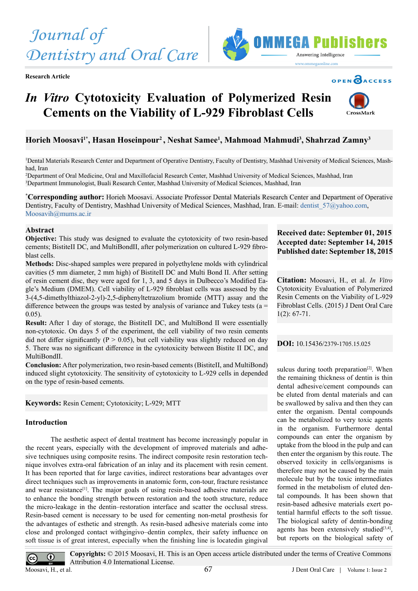**Research Article**



## OPEN CACCESS

# *In Vitro* **Cytotoxicity Evaluation of Polymerized Resin Cements on the Viability of L-929 Fibroblast Cells**



## **Horieh Moosavi1\*, Hasan Hoseinpour2 , Neshat Samee1 , Mahmoad Mahmudi3 , Shahrzad Zamny3**

1 Dental Materials Research Center and Department of Operative Dentistry, Faculty of Dentistry, Mashhad University of Medical Sciences, Mashhad, Iran

2 Department of Oral Medicine, Oral and Maxillofacial Research Center, Mashhad University of Medical Sciences, Mashhad, Iran 3 Department Immunologist, Buali Research Center, Mashhad University of Medical Sciences, Mashhad, Iran

**\* Corresponding author:** Horieh Moosavi. Associate Professor Dental Materials Research Center and Department of Operative Dentistry, Faculty of Dentistry, Mashhad University of Medical Sciences, Mashhad, Iran. E-mail: dentist 57@yahoo.com, Moosavih@mums.ac.ir

#### **Abstract**

**Objective:** This study was designed to evaluate the cytotoxicity of two resin-based cements; BistiteII DC, and MultiBondII, after polymerization on cultured L-929 fibroblast cells.

**Methods:** Disc-shaped samples were prepared in polyethylene molds with cylindrical cavities (5 mm diameter, 2 mm high) of BistiteII DC and Multi Bond II. After setting of resin cement disc, they were aged for 1, 3, and 5 days in Dulbecco's Modified Eagle's Medium (DMEM). Cell viability of L-929 fibroblast cells was assessed by the 3-(4,5-dimethylthiazol-2-yl)-2,5-diphenyltetrazolium bromide (MTT) assay and the difference between the groups was tested by analysis of variance and Tukey tests ( $a =$ 0.05).

**Result:** After 1 day of storage, the BistiteII DC, and MultiBond II were essentially non-cytotoxic. On days 5 of the experiment, the cell viability of two resin cements did not differ significantly ( $P > 0.05$ ), but cell viability was slightly reduced on day 5. There was no significant difference in the cytotoxicity between Bistite II DC, and MultiBondII.

**Conclusion:** After polymerization, two resin-based cements (BistiteII, and MultiBond) induced slight cytotoxicity. The sensitivity of cytotoxicity to L-929 cells in depended on the type of resin-based cements.

**Keywords:** Resin Cement; Cytotoxicity; L-929; MTT

## **Introduction**

The aesthetic aspect of dental treatment has become increasingly popular in the recent years, especially with the development of improved materials and adhesive techniques using composite resins. The indirect composite resin restoration technique involves extra-oral fabrication of an inlay and its placement with resin cement. It has been reported that for large cavities, indirect restorations bear advantages over direct techniques such as improvements in anatomic form, con-tour, fracture resistance and wear resistance<sup>[1]</sup>. The major goals of using resin-based adhesive materials are to enhance the bonding strength between restoration and the tooth structure, reduce the micro-leakage in the dentin–restoration interface and scatter the occlusal stress. Resin-based cement is necessary to be used for cementing non-metal prosthesis for the advantages of esthetic and strength. As resin-based adhesive materials come into close and prolonged contact withgingivo–dentin complex, their safety influence on soft tissue is of great interest, especially when the finishing line is locatedin gingival

## **Received date: September 01, 2015 Accepted date: September 14, 2015 Published date: September 18, 2015**

**Citation:** Moosavi, H., et al. *In Vitro* Cytotoxicity Evaluation of Polymerized Resin Cements on the Viability of L-929 Fibroblast Cells. (2015) J Dent Oral Care 1(2): 67-71.

**DOI:** 10.15436/[2379-1705.15.025](http://www.dx.doi.org/10.15436/2379-1705.15.025)

sulcus during tooth preparation $[2]$ . When the remaining thickness of dentin is thin dental adhesive/cement compounds can be eluted from dental materials and can be swallowed by saliva and then they can enter the organism. Dental compounds can be metabolized to very toxic agents in the organism. Furthermore dental compounds can enter the organism by uptake from the blood in the pulp and can then enter the organism by this route. The observed toxicity in cells/organisms is therefore may not be caused by the main molecule but by the toxic intermediates formed in the metabolism of eluted dental compounds. It has been shown that resin-based adhesive materials exert potential harmful effects to the soft tissue. The biological safety of dentin-bonding agents has been extensively studied $[3,4]$ , but reports on the biological safety of

**Copyrights:** © 2015 Moosavi, H. This is an Open access article distributed under the terms of Creative Commons  $\odot$ Attribution 4.0 International License. **BY** Moosavi, H., et al.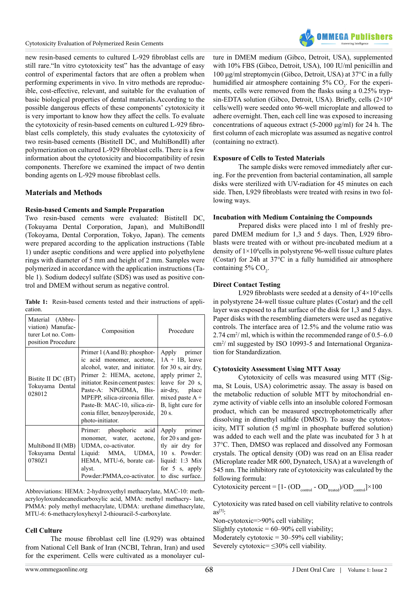

new resin-based cements to cultured L-929 fibroblast cells are still rare."In vitro cytotoxicity test" has the advantage of easy control of experimental factors that are often a problem when performing experiments in vivo. In vitro methods are reproducible, cost-effective, relevant, and suitable for the evaluation of basic biological properties of dental materials.According to the possible dangerous effects of these components' cytotoxicity it is very important to know how they affect the cells. To evaluate the cytotoxicity of resin-based cements on cultured L-929 fibroblast cells completely, this study evaluates the cytotoxicity of two resin-based cements (BistiteII DC, and MultiBondII) after polymerization on cultured L-929 fibroblast cells. There is a few information about the cytotoxicity and biocompatibility of resin components. Therefore we examined the impact of two dentin bonding agents on L-929 mouse fibroblast cells.

## **Materials and Methods**

#### **Resin-based Cements and Sample Preparation**

Two resin-based cements were evaluated: BistiteII DC, (Tokuyama Dental Corporation, Japan), and MultiBondII (Tokoyama, Dental Corporation, Tokyo, Japan). The cements were prepared according to the application instructions (Table 1) under aseptic conditions and were applied into polyethylene rings with diameter of 5 mm and height of 2 mm. Samples were polymerized in accordance with the application instructions (Table 1). Sodium dodecyl sulfate (SDS) was used as positive control and DMEM without serum as negative control.

**Table 1:** Resin-based cements tested and their instructions of application.

| Material (Abbre-<br>viation) Manufac-<br>turer Lot no. Com-<br>position Procedure | Composition                                                                                                                                                                                                                                                                                                             | Procedure                                                                                                                                                            |  |  |
|-----------------------------------------------------------------------------------|-------------------------------------------------------------------------------------------------------------------------------------------------------------------------------------------------------------------------------------------------------------------------------------------------------------------------|----------------------------------------------------------------------------------------------------------------------------------------------------------------------|--|--|
| Bistite II DC (BT)<br>Tokuyama Dental<br>028012                                   | Primer $1(A \text{ and } B)$ : phosphor-<br>ic acid monomer, acetone,<br>alcohol, water, and initiator.<br>Primer 2: HEMA, acetone,<br>initiator. Resin cement pastes:<br>Paste-A: NPGDMA, Bis-<br>MPEPP, silica-zirconia filler.<br>Paste-B: MAC-10, silica-zir-<br>conia filler, benzoylperoxide,<br>photo-initiator. | Apply primer<br>$1A + 1B$ , leave<br>for 30 s, air dry,<br>apply primer 2,<br>leave for 20 s,<br>air-dry, place<br>mixed paste $A +$<br>B, light cure for<br>$20$ s. |  |  |
| Multibond II (MB)<br>Tokuyama Dental<br>0780Z1                                    | Primer: phosphoric acid<br>monomer, water, acetone,<br>UDMA, co-activator.<br>Liquid: MMA, UDMA, 10 s. Powder:<br>HEMA, MTU-6, borate cat-<br>alyst.<br>Powder: PMMA, co-activator.                                                                                                                                     | Apply primer<br>for $20$ s and gen-<br>tly air dry for<br>liquid: $1:3$ Mix<br>for 5 s, apply<br>to disc surface.                                                    |  |  |

Abbreviations: HEMA: 2-hydroxyethyl methacrylate, MAC-10: methacryloyloxundecanedicarboxylic acid, MMA: methyl methacry- late, PMMA: poly methyl methacrylate, UDMA: urethane dimethacrylate, MTU-6: 6-methacryloxyhexyl 2-thiouracil-5-carboxylate.

#### **Cell Culture**

The mouse fibroblast cell line (L929) was obtained from National Cell Bank of Iran (NCBI, Tehran, Iran) and used for the experiment. Cells were cultivated as a monolayer culture in DMEM medium (Gibco, Detroit, USA), supplemented with 10% FBS (Gibco, Detroit, USA), 100 IU/ml penicillin and 100 μg/ml streptomycin (Gibco, Detroit, USA) at 37°C in a fully humidified air atmosphere containing  $5\%$  CO<sub>2</sub>. For the experiments, cells were removed from the flasks using a 0.25% trypsin-EDTA solution (Gibco, Detroit, USA). Briefly, cells (2×10<sup>4</sup>) cells/well) were seeded onto 96-well microplate and allowed to adhere overnight. Then, each cell line was exposed to increasing concentrations of aqueous extract (5-2000 μg/ml) for 24 h. The first column of each microplate was assumed as negative control (containing no extract).

#### **Exposure of Cells to Tested Materials**

The sample disks were removed immediately after curing. For the prevention from bacterial contamination, all sample disks were sterilized with UV-radiation for 45 minutes on each side. Then, L929 fibroblasts were treated with resins in two following ways.

#### **Incubation with Medium Containing the Compounds**

Prepared disks were placed into 1 ml of freshly prepared DMEM medium for 1,3 and 5 days. Then, L929 fibroblasts were treated with or without pre-incubated medium at a density of  $1 \times 10^4$ cells in polystyrene 96-well tissue culture plates (Costar) for 24h at 37°C in a fully humidified air atmosphere containing  $5\%$  CO<sub>2</sub>.

#### **Direct Contact Testing**

L929 fibroblasts were seeded at a density of  $4\times10^4$  cells in polystyrene 24-well tissue culture plates (Costar) and the cell layer was exposed to a flat surface of the disk for 1,3 and 5 days. Paper disks with the resembling diameters were used as negative controls. The interface area of 12.5% and the volume ratio was  $2.74 \text{ cm}^2/\text{ml}$ , which is within the recommended range of 0.5–6.0 cm2 / ml suggested by ISO 10993-5 and International Organization for Standardization.

#### **Cytotoxicity Assessment Using MTT Assay**

Cytotoxicity of cells was measured using MTT (Sigma, St Louis, USA) colorimetric assay. The assay is based on the metabolic reduction of soluble MTT by mitochondrial enzyme activity of viable cells into an insoluble colored Formosan product, which can be measured spectrophotometrically after dissolving in dimethyl sulfide (DMSO). To assay the cytotoxicity, MTT solution (5 mg/ml in phosphate buffered solution) was added to each well and the plate was incubated for 3 h at 37°C. Then, DMSO was replaced and dissolved any Formosan crystals. The optical density (OD) was read on an Elisa reader (Microplate reader MR 600, Dynatech, USA) at a wavelength of 545 nm. The inhibitory rate of cytotoxicity was calculated by the following formula:

Cytotoxicity percent =  $[1-(OD_{\text{control}} - OD_{\text{treated}})/OD_{\text{control}}] \times 100$ 

Cytotoxicity was rated based on cell viability relative to controls  $as^{[5]}$  $as^{[5]}$  $as^{[5]}$ :

Non-cytotoxic=>90% cell viability;

Slightly cytotoxic =  $60-90\%$  cell viability;

Moderately cytotoxic  $= 30 - 59\%$  cell viability;

Severely cytotoxic=  $\leq$ 30% cell viability.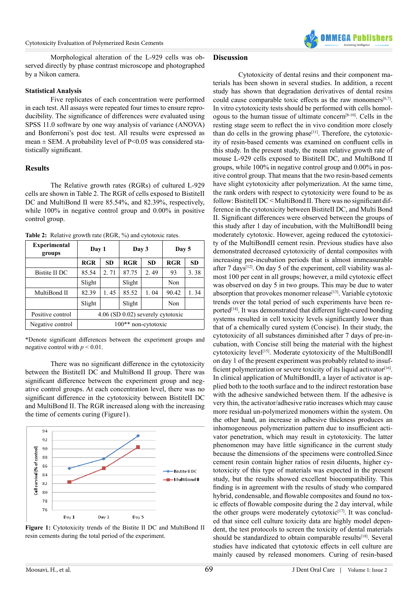

Morphological alteration of the L-929 cells was observed directly by phase contrast microscope and photographed by a Nikon camera.

#### **Statistical Analysis**

Five replicates of each concentration were performed in each test. All assays were repeated four times to ensure reproducibility. The significance of differences were evaluated using SPSS 11.0 software by one way analysis of variance (ANOVA) and Bonferroni's post doc test. All results were expressed as mean  $\pm$  SEM. A probability level of P<0.05 was considered statistically significant.

## **Results**

The Relative growth rates (RGRs) of cultured L-929 cells are shown in Table 2. The RGR of cells exposed to BistiteII DC and MultiBond II were 85.54%, and 82.39%, respectively, while 100% in negative control group and 0.00% in positive control group.

**Table 2:** Relative growth rate (RGR, %) and cytotoxic rates.

| <b>Experimental</b><br>groups | Day 1                             |           | Day 3  |           | Day 5      |           |  |
|-------------------------------|-----------------------------------|-----------|--------|-----------|------------|-----------|--|
|                               | <b>RGR</b>                        | <b>SD</b> | RGR    | <b>SD</b> | <b>RGR</b> | <b>SD</b> |  |
| Bistite II DC                 | 85.54                             | 2.71      | 87.75  | 2.49      | 93         | 3.38      |  |
|                               | Slight                            |           | Slight |           | Non        |           |  |
| MultiBond II                  | 82.39                             | 1.45      | 85.52  | 1.04      | 90.42      | 1.34      |  |
|                               | Slight                            |           | Slight |           | Non        |           |  |
| Positive control              | 4.06 (SD 0.02) severely cytotoxic |           |        |           |            |           |  |
| Negative control              | $100**$ non-cytotoxic             |           |        |           |            |           |  |

\*Denote significant differences between the experiment groups and negative control with  $p \le 0.01$ .

There was no significant difference in the cytotoxicity between the BistiteII DC and MultiBond II group. There was significant difference between the experiment group and negative control groups. At each concentration level, there was no significant difference in the cytotoxicity between BistiteII DC and MultiBond II. The RGR increased along with the increasing the time of cements curing (Figure1).



Figure 1: Cytotoxicity trends of the Bistite II DC and MultiBond II resin cements during the total period of the experiment.

## **Discussion**

Cytotoxicity of dental resins and their component materials has been shown in several studies. In addition, a recent study has shown that degradation derivatives of dental resins could cause comparable toxic effects as the raw monomers $[6,7]$ . In vitro cytotoxicity tests should be performed with cells homologous to the human tissue of ultimate concer[n\[8-10\].](#page-3-5) Cells in the resting stage seem to reflect the in vivo condition more closely than do cells in the growing phase<sup>[\[11\]](#page-3-6)</sup>. Therefore, the cytotoxicity of resin-based cements was examined on confluent cells in this study. In the present study, the mean relative growth rate of mouse L-929 cells exposed to BistiteII DC, and MultiBond II groups, while 100% in negative control group and 0.00% in positive control group. That means that the two resin-based cements have slight cytotoxicity after polymerization. At the same time, the rank orders with respect to cytotoxicity were found to be as follow: BistiteII DC < MultiBond II. There was no significant difference in the cytotoxicity between BistiteII DC, and Multi Bond II. Significant differences were observed between the groups of this study after 1 day of incubation, with the MultiBondII being moderately cytotoxic. However, ageing reduced the cytotoxicity of the MultiBondII cement resin. Previous studies have also demonstrated decreased cytotoxicity of dental composites with increasing pre-incubation periods that is almost immeasurable after 7 days<sup>[12]</sup>. On day 5 of the experiment, cell viability was almost 100 per cent in all groups; however, a mild cytotoxic effect was observed on day 5 in two groups. This may be due to water absorption that provokes monomer release<sup>[\[13\]](#page-3-8)</sup>. Variable cytotoxic trends over the total period of such experiments have been reported<sup>[14]</sup>. It was demonstrated that different light-cured bonding systems resulted in cell toxicity levels significantly lower than that of a chemically cured system (Concise). In their study, the cytotoxicity of all substances diminished after 7 days of pre-incubation, with Concise still being the material with the highest cytotoxicity leve[l\[15\].](#page-3-10) Moderate cytotoxicity of the MultiBondII on day 1 of the present experiment was probably related to insufficient polymerization or severe toxicity of its liquid activator<sup>[16]</sup>. In clinical application of MultiBondII, a layer of activator is applied both to the tooth surface and to the indirect restoration base with the adhesive sandwiched between them. If the adhesive is very thin, the activator/adhesive ratio increases which may cause more residual un-polymerized monomers within the system. On the other hand, an increase in adhesive thickness produces an inhomogeneous polymerization pattern due to insufficient activator penetration, which may result in cytotoxicity. The latter phenomenon may have little significance in the current study because the dimensions of the specimens were controlled.Since cement resin contain higher ratios of resin diluents, higher cytotoxicity of this type of materials was expected in the present study, but the results showed excellent biocompatibility. This finding is in agreement with the results of study who compared hybrid, condensable, and flowable composites and found no toxic effects of flowable composite during the 2 day interval, while the other groups were moderately cytotoxic<sup>[17]</sup>. It was concluded that since cell culture toxicity data are highly model dependent, the test protocols to screen the toxicity of dental materials should be standardized to obtain comparable results<sup>[18]</sup>. Several studies have indicated that cytotoxic effects in cell culture are mainly caused by released monomers. Curing of resin-based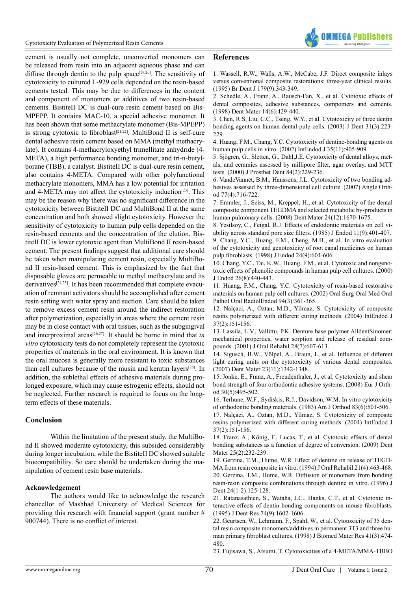

cement is usually not complete, unconverted monomers can be released from resin into an adjacent aqueous phase and can diffuse through dentin to the pulp space<sup>[19,20]</sup>. The sensitivity of cytotoxicity to cultured L-929 cells depended on the resin-based cements tested. This may be due to differences in the content and component of monomers or additives of two resin-based cements. BistiteII DC is dual-cure resin cement based on Bis-MPEPP. It contains MAC-10, a special adhesive monomer. It has been shown that some methacrylate monomer (Bis-MPEPP) is strong cytotoxic to fibroblast<sup>[\[21,22\]](#page-3-15)</sup>. MultiBond II is self-cure dental adhesive resin cement based on MMA (methyl methacrylate). It contains 4-methacryloxyethyl trimellitate anhydride (4- META), a high performance bonding monomer, and tri-n-butylborane (TBB), a catalyst. BistiteII DC is dual-cure resin cement, also contains 4-META. Compared with other polyfunctional methacrylate monomers, MMA has a low potential for irritation and 4-META may not affect the cytotoxicity induction<sup>[\[23\]](#page-3-16)</sup>. This may be the reason why there was no significant difference in the cytotoxicity between BistiteII DC and MultiBond II at the same concentration and both showed slight cytotoxicity. However the sensitivity of cytotoxicity to human pulp cells depended on the resin-based cements and the concentration of the elution. BistiteII DC is lower cytotoxic agent than MultiBond II resin-based cement. The present findings suggest that additional care should be taken when manipulating cement resin, especially MultiBond II resin-based cement. This is emphasized by the fact that disposable gloves are permeable to methyl methacrylate and its derivatives<sup>[24,25]</sup>. It has been recommended that complete evacuation of remnant activators should be accomplished after cement resin setting with water spray and suction. Care should be taken to remove excess cement resin around the indirect restoration after polymerization, especially in areas where the cement resin may be in close contact with oral tissues, such as the subgingival and interproximal areas[\[26,27\]](#page-4-0). It should be borne in mind that *in vitro* cytotoxicity tests do not completely represent the cytotoxic properties of materials in the oral environment. It is known that the oral mucosa is generally more resistant to toxic substances than cell cultures because of the musin and keratin layers[\[28\].](#page-4-1) In addition, the sublethal effects of adhesive materials during prolonged exposure, which may cause estrogenic effects, should not be neglected. Further research is required to focus on the longterm effects of these materials.

## **Conclusion**

Within the limitation of the present study, the MultiBond II showed moderate cytotoxicity, this subsided considerably during longer incubation, while the BistiteII DC showed suitable biocompatibility. So care should be undertaken during the manipulation of cement resin base materials.

#### **Acknowledgement**

The authors would like to acknowledge the research chancellor of Mashhad University of Medical Sciences for providing this research with financial support (grant number # 900744). There is no conflict of interest.

#### **References**

<span id="page-3-0"></span>[1. Wassell, R.W., Walls, A.W., McCabe, J.F. Direct composite inlays](http://www.ncbi.nlm.nih.gov/pubmed/7495630) [versus conventional composite restorations: three-year clinical results.](http://www.ncbi.nlm.nih.gov/pubmed/7495630) [\(1995\) Br Dent J 179\(9\):343-349.](http://www.ncbi.nlm.nih.gov/pubmed/7495630)

<span id="page-3-1"></span>[2. Schedle, A., Franz, A., Rausch-Fan, X., et al. Cytotoxic effects of](http://www.ncbi.nlm.nih.gov/pubmed/10483406) [dental composites, adhesive substances, compomers and cements.](http://www.ncbi.nlm.nih.gov/pubmed/10483406) [\(1998\) Dent Mater 14\(6\):429-440.](http://www.ncbi.nlm.nih.gov/pubmed/10483406)

<span id="page-3-2"></span>[3. Chen, R.S, Liu, C.C., Tseng, W.Y., et al. Cytotoxicity of three dentin](http://www.ncbi.nlm.nih.gov/pubmed/12726708) [bonding agents on human dental pulp cells. \(2003\) J Dent 31\(3\):223-](http://www.ncbi.nlm.nih.gov/pubmed/12726708) 229

[4. Huang, F.M., Chang, Y.C. Cytotoxicity of dentine-bonding agents on](http://www.ncbi.nlm.nih.gov/pubmed/12453018) [human pulp cells in vitro. \(2002\) IntEndod J 35\(11\):905-909.](http://www.ncbi.nlm.nih.gov/pubmed/12453018)

<span id="page-3-3"></span>[5. Sjögren, G., Sletten, G., Dahl,J.E. Cytotoxicity of dental alloys, met](http://www.ncbi.nlm.nih.gov/pubmed/10946345)[als, and ceramics assessed by millipore filter, agar overlay, and MTT](http://www.ncbi.nlm.nih.gov/pubmed/10946345) [tests. \(2000\) J Prosthet Dent 84\(2\):229-236.](http://www.ncbi.nlm.nih.gov/pubmed/10946345)

<span id="page-3-4"></span>[6. VandeVannet, B.M., Hanssens, J.L. Cytotoxicity of two bonding ad](http://www.ncbi.nlm.nih.gov/pubmed/17605479)[hesives assessed by three-dimensional cell culture. \(2007\) Angle Orth](http://www.ncbi.nlm.nih.gov/pubmed/17605479)[od 77\(4\):716-722.](http://www.ncbi.nlm.nih.gov/pubmed/17605479)

[7. Emmler, J., Seiss, M., Kreppel, H., et al. Cytotoxicity of the dental](http://www.ncbi.nlm.nih.gov/pubmed/18486204) [composite component TEGDMA and selected metabolic by-products in](http://www.ncbi.nlm.nih.gov/pubmed/18486204) [human pulmonary cells. \(2008\) Dent Mater 24\(12\):1670-1675.](http://www.ncbi.nlm.nih.gov/pubmed/18486204)

<span id="page-3-5"></span>[8. Yesilsoy, C., Feigal, R.J. Effects of endodontic materials on cell vi](http://www.ncbi.nlm.nih.gov/pubmed/3864914)[ability across standard pore size filters. \(1985\) J Endod 11\(9\):401-407.](http://www.ncbi.nlm.nih.gov/pubmed/3864914)

[9. Chang, Y.C., Huang, F.M., Cheng, M.H., et al. In vitro evaluation](http://www.ncbi.nlm.nih.gov/pubmed/9922749) [of the cytotoxicity and genotoxicity of root canal medicines on human](http://www.ncbi.nlm.nih.gov/pubmed/9922749) [pulp fibroblasts. \(1998\) J Endod 24\(9\):604-606.](http://www.ncbi.nlm.nih.gov/pubmed/9922749)

[10. Chang, Y.C., Tai, K.W., Huang, F.M., et al. Cytotoxic and nongeno](http://www.ncbi.nlm.nih.gov/pubmed/11199774)[toxic effects of phenolic compounds in human pulp cell cultures. \(2000\)](http://www.ncbi.nlm.nih.gov/pubmed/11199774) [J Endod 26\(8\):440-443.](http://www.ncbi.nlm.nih.gov/pubmed/11199774)

<span id="page-3-6"></span>[11. Huang, F.M., Chang, Y.C. Cytotoxicity of resin-based restorative](http://www.ncbi.nlm.nih.gov/pubmed/12324794) [materials on human pulp cell cultures. \(2002\) Oral Surg Oral Med Oral](http://www.ncbi.nlm.nih.gov/pubmed/12324794) [Pathol Oral RadiolEndod 94\(3\):361-365.](http://www.ncbi.nlm.nih.gov/pubmed/12324794)

<span id="page-3-7"></span>[12. Nalçaci, A., Oztan, M.D., Yilmaz, S. Cytotoxicity of composite](http://www.ncbi.nlm.nih.gov/pubmed/14871183) [resins polymerized with different curing methods. \(2004\) IntEndod J](http://www.ncbi.nlm.nih.gov/pubmed/14871183) [37\(2\):151-156.](http://www.ncbi.nlm.nih.gov/pubmed/14871183)

<span id="page-3-8"></span>[13. Lassila, L.V., Vallittu, P.K. Denture base polymer AlldentSinomer:](http://www.ncbi.nlm.nih.gov/pubmed/11422690) [mechanical properties, water sorption and release of residual com](http://www.ncbi.nlm.nih.gov/pubmed/11422690)[pounds. \(2001\) J Oral Rehabil 28\(7\):607-613.](http://www.ncbi.nlm.nih.gov/pubmed/11422690)

<span id="page-3-9"></span>[14. Sigusch, B.W., Völpel, A., Braun, I., et al. Influence of different](http://www.ncbi.nlm.nih.gov/pubmed/17229462) [light curing units on the cytotoxicity of various dental composites.](http://www.ncbi.nlm.nih.gov/pubmed/17229462) [\(2007\) Dent Mater 23\(11\):1342-1348.](http://www.ncbi.nlm.nih.gov/pubmed/17229462)

<span id="page-3-10"></span>[15. Jonke, E., Franz, A., Freudenthaler, J., et al. Cytotoxicity and shear](http://ejo.oxfordjournals.org/content/eortho/30/5/495.full.pdf) [bond strength of four orthodontic adhesive systems. \(2008\) Eur J Orth](http://ejo.oxfordjournals.org/content/eortho/30/5/495.full.pdf)[od 30\(5\):495-502.](http://ejo.oxfordjournals.org/content/eortho/30/5/495.full.pdf)

<span id="page-3-11"></span>[16. Terhune, W.F., Sydiskis, R.J., Davidson, W.M. In vitro cytotoxicity](http://www.ncbi.nlm.nih.gov/pubmed/6344646) [of orthodontic bonding materials. \(1983\) Am J Orthod 83\(6\):501-506.](http://www.ncbi.nlm.nih.gov/pubmed/6344646)

<span id="page-3-12"></span>[17. Nalçaci, A., Oztan, M.D., Yilmaz, S. Cytotoxicity of composite](http://www.ncbi.nlm.nih.gov/pubmed/14871183) [resins polymerized with different curing methods. \(2004\) IntEndod J](http://www.ncbi.nlm.nih.gov/pubmed/14871183) [37\(2\):151-156.](http://www.ncbi.nlm.nih.gov/pubmed/14871183)

<span id="page-3-13"></span>[18. Franz, A., König, F., Lucas, T., et al. Cytotoxic effects of dental](http://www.ncbi.nlm.nih.gov/pubmed/18774602) [bonding substances as a function of degree of conversion. \(2009\) Dent](http://www.ncbi.nlm.nih.gov/pubmed/18774602) [Mater 25\(2\):232-239.](http://www.ncbi.nlm.nih.gov/pubmed/18774602)

<span id="page-3-14"></span>[19. Gerzina, T.M., Hume, W.R. Effect of dentine on release of TEGD](http://www.ncbi.nlm.nih.gov/pubmed/7965357)-[MA from resin composite in vitro. \(1994\) J Oral Rehabil 21\(4\):463-468.](http://www.ncbi.nlm.nih.gov/pubmed/7965357) [20. Gerzina, T.M., Hume, W.R. Diffusion of monomers from bonding](http://www.ncbi.nlm.nih.gov/pubmed/8636483) [resin-resin composite combinations through dentine in vitro. \(1996\) J](http://www.ncbi.nlm.nih.gov/pubmed/8636483) [Dent 24\(1-2\):125-128.](http://www.ncbi.nlm.nih.gov/pubmed/8636483)

<span id="page-3-15"></span>[21. Ratanasathien, S., Wataha, J.C., Hanks, C.T., et al. Cytotoxic in](http://www.ncbi.nlm.nih.gov/pubmed/7560423)[teractive effects of dentin bonding components on mouse fibroblasts.](http://www.ncbi.nlm.nih.gov/pubmed/7560423) [\(1995\) J Dent Res 74\(9\):1602-1606.](http://www.ncbi.nlm.nih.gov/pubmed/7560423)

[22. Geurtsen, W., Lehmann, F., Spahl, W., et al. Cytotoxicity of 35 den](http://www.ncbi.nlm.nih.gov/pubmed/9659618)[tal resin composite monomers/additives in permanent 3T3 and three hu](http://www.ncbi.nlm.nih.gov/pubmed/9659618)[man primary fibroblast cultures. \(1998\) J Biomed Mater Res 41\(3\):474-](http://www.ncbi.nlm.nih.gov/pubmed/9659618) [480.](http://www.ncbi.nlm.nih.gov/pubmed/9659618)

<span id="page-3-16"></span>[23. Fujisawa, S., Atsumi, T. Cytotoxicities of a 4-META/MMA-TBBO](http://www.ncbi.nlm.nih.gov/pubmed/15287554)